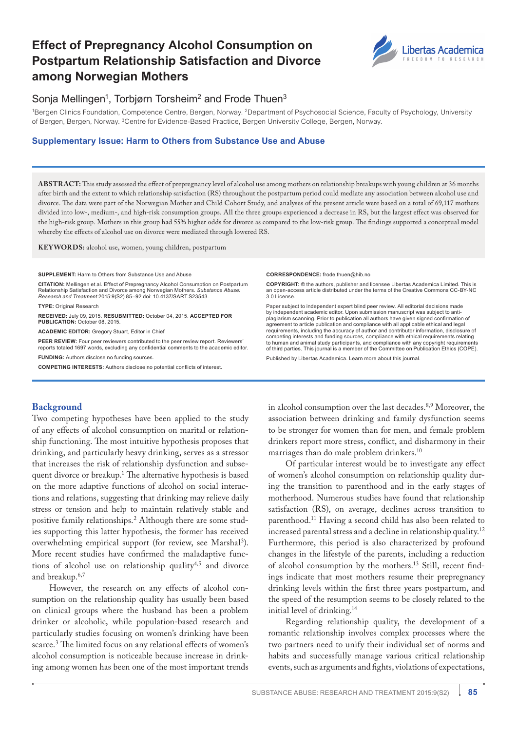# **Effect of Prepregnancy Alcohol Consumption on Postpartum Relationship Satisfaction and Divorce among Norwegian Mothers**



## Sonja Mellingen<sup>1</sup>, Torbjørn Torsheim<sup>2</sup> and Frode Thuen<sup>3</sup>

1Bergen Clinics Foundation, Competence Centre, Bergen, Norway. 2Department of Psychosocial Science, Faculty of Psychology, University of Bergen, Bergen, Norway. 3Centre for Evidence-Based Practice, Bergen University College, Bergen, Norway.

#### **Supplementary Issue: Harm to Others from Substance Use and Abuse**

**Abstract:** This study assessed the effect of prepregnancy level of alcohol use among mothers on relationship breakups with young children at 36 months after birth and the extent to which relationship satisfaction (RS) throughout the postpartum period could mediate any association between alcohol use and divorce. The data were part of the Norwegian Mother and Child Cohort Study, and analyses of the present article were based on a total of 69,117 mothers divided into low-, medium-, and high-risk consumption groups. All the three groups experienced a decrease in RS, but the largest effect was observed for the high-risk group. Mothers in this group had 55% higher odds for divorce as compared to the low-risk group. The findings supported a conceptual model whereby the effects of alcohol use on divorce were mediated through lowered RS.

**Keywords:** alcohol use, women, young children, postpartum

**SUPPLEMENT:** Harm to Others from Substance Use and Abuse

**Citation:** Mellingen et al. Effect of Prepregnancy Alcohol Consumption on Postpartum Relationship Satisfaction and Divorce among Norwegian Mothers. *Substance Abuse: Research and Treatment* 2015:9(S2) 85–92 doi: [10.4137/SART.S23543.](http://dx.doi.org/10.4137/SART.S23543)

**TYPE:** Original Research

**Received:** July 09, 2015. **ReSubmitted:** October 04, 2015. **Accepted for publication:** October 08, 2015.

**Academic editor:** Gregory Stuart, Editor in Chief

**PEER REVIEW:** Four peer reviewers contributed to the peer review report. Reviewers' reports totaled 1697 words, excluding any confidential comments to the academic editor.

**Funding:** Authors disclose no funding sources.

**Competing Interests:** Authors disclose no potential conflicts of interest.

### **Background**

Two competing hypotheses have been applied to the study of any effects of alcohol consumption on marital or relationship functioning. The most intuitive hypothesis proposes that drinking, and particularly heavy drinking, serves as a stressor that increases the risk of relationship dysfunction and subsequent divorce or breakup.1 The alternative hypothesis is based on the more adaptive functions of alcohol on social interactions and relations, suggesting that drinking may relieve daily stress or tension and help to maintain relatively stable and positive family relationships.<sup>2</sup> Although there are some studies supporting this latter hypothesis, the former has received overwhelming empirical support (for review, see Marshal<sup>3</sup>). More recent studies have confirmed the maladaptive functions of alcohol use on relationship quality<sup>4,5</sup> and divorce and breakup.6,7

However, the research on any effects of alcohol consumption on the relationship quality has usually been based on clinical groups where the husband has been a problem drinker or alcoholic, while population-based research and particularly studies focusing on women's drinking have been scarce.<sup>3</sup> The limited focus on any relational effects of women's alcohol consumption is noticeable because increase in drinking among women has been one of the most important trends **Correspondence:** [frode.thuen@hib.no](mailto:frode.thuen@hib.no)

**Copyright:** © the authors, publisher and licensee Libertas Academica Limited. This is an open-access article distributed under the terms of the Creative Commons CC-BY-NC 3.0 License.

Paper subject to independent expert blind peer review. All editorial decisions made by independent academic editor. Upon submission manuscript was subject to antiplagiarism scanning. Prior to publication all authors have given signed confirmation of agreement to article publication and compliance with all applicable ethical and legal requirements, including the accuracy of author and contributor information, disclosure of competing interests and funding sources, compliance with ethical requirements relating to human and animal study participants, and compliance with any copyright requirements of third parties. This journal is a member of the Committee on Publication Ethics (COPE).

Published by [Libertas Academica.](http://www.la-press.com) Learn more about [this journal.](http://www.la-press.com/substance-abuse-research-and-treatment-journal-j80)

in alcohol consumption over the last decades.8,9 Moreover, the association between drinking and family dysfunction seems to be stronger for women than for men, and female problem drinkers report more stress, conflict, and disharmony in their marriages than do male problem drinkers.<sup>10</sup>

Of particular interest would be to investigate any effect of women's alcohol consumption on relationship quality during the transition to parenthood and in the early stages of motherhood. Numerous studies have found that relationship satisfaction (RS), on average, declines across transition to parenthood.<sup>11</sup> Having a second child has also been related to increased parental stress and a decline in relationship quality.12 Furthermore, this period is also characterized by profound changes in the lifestyle of the parents, including a reduction of alcohol consumption by the mothers.<sup>13</sup> Still, recent findings indicate that most mothers resume their prepregnancy drinking levels within the first three years postpartum, and the speed of the resumption seems to be closely related to the initial level of drinking.14

Regarding relationship quality, the development of a romantic relationship involves complex processes where the two partners need to unify their individual set of norms and habits and successfully manage various critical relationship events, such as arguments and fights, violations of expectations,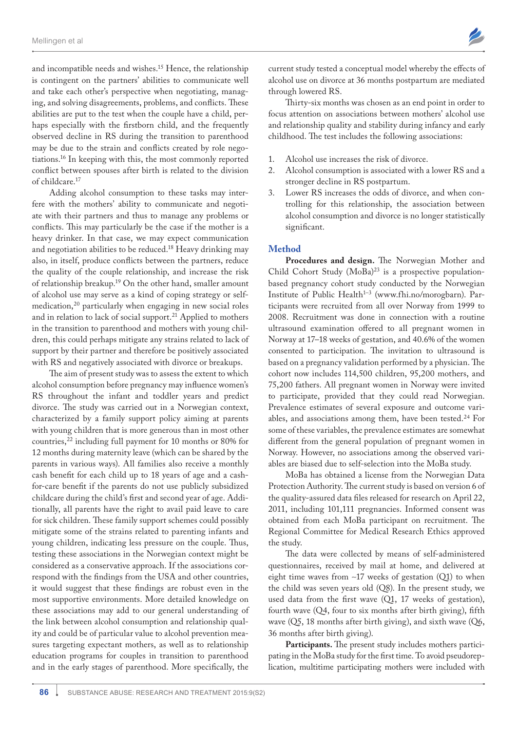and incompatible needs and wishes.15 Hence, the relationship is contingent on the partners' abilities to communicate well and take each other's perspective when negotiating, managing, and solving disagreements, problems, and conflicts. These abilities are put to the test when the couple have a child, perhaps especially with the firstborn child, and the frequently observed decline in RS during the transition to parenthood may be due to the strain and conflicts created by role negotiations.16 In keeping with this, the most commonly reported conflict between spouses after birth is related to the division of childcare.17

Adding alcohol consumption to these tasks may interfere with the mothers' ability to communicate and negotiate with their partners and thus to manage any problems or conflicts. This may particularly be the case if the mother is a heavy drinker. In that case, we may expect communication and negotiation abilities to be reduced.18 Heavy drinking may also, in itself, produce conflicts between the partners, reduce the quality of the couple relationship, and increase the risk of relationship breakup.19 On the other hand, smaller amount of alcohol use may serve as a kind of coping strategy or selfmedication,20 particularly when engaging in new social roles and in relation to lack of social support.<sup>21</sup> Applied to mothers in the transition to parenthood and mothers with young children, this could perhaps mitigate any strains related to lack of support by their partner and therefore be positively associated with RS and negatively associated with divorce or breakups.

The aim of present study was to assess the extent to which alcohol consumption before pregnancy may influence women's RS throughout the infant and toddler years and predict divorce. The study was carried out in a Norwegian context, characterized by a family support policy aiming at parents with young children that is more generous than in most other countries,22 including full payment for 10 months or 80% for 12 months during maternity leave (which can be shared by the parents in various ways). All families also receive a monthly cash benefit for each child up to 18 years of age and a cashfor-care benefit if the parents do not use publicly subsidized childcare during the child's first and second year of age. Additionally, all parents have the right to avail paid leave to care for sick children. These family support schemes could possibly mitigate some of the strains related to parenting infants and young children, indicating less pressure on the couple. Thus, testing these associations in the Norwegian context might be considered as a conservative approach. If the associations correspond with the findings from the USA and other countries, it would suggest that these findings are robust even in the most supportive environments. More detailed knowledge on these associations may add to our general understanding of the link between alcohol consumption and relationship quality and could be of particular value to alcohol prevention measures targeting expectant mothers, as well as to relationship education programs for couples in transition to parenthood and in the early stages of parenthood. More specifically, the

current study tested a conceptual model whereby the effects of alcohol use on divorce at 36 months postpartum are mediated through lowered RS.

Thirty-six months was chosen as an end point in order to focus attention on associations between mothers' alcohol use and relationship quality and stability during infancy and early childhood. The test includes the following associations:

- 1. Alcohol use increases the risk of divorce.
- 2. Alcohol consumption is associated with a lower RS and a stronger decline in RS postpartum.
- 3. Lower RS increases the odds of divorce, and when controlling for this relationship, the association between alcohol consumption and divorce is no longer statistically significant.

#### **Method**

**Procedures and design.** The Norwegian Mother and Child Cohort Study  $(MoBa)^{23}$  is a prospective populationbased pregnancy cohort study conducted by the Norwegian Institute of Public Health<sup>1-3</sup> (www.fhi.no/morogbarn). Participants were recruited from all over Norway from 1999 to 2008. Recruitment was done in connection with a routine ultrasound examination offered to all pregnant women in Norway at 17–18 weeks of gestation, and 40.6% of the women consented to participation. The invitation to ultrasound is based on a pregnancy validation performed by a physician. The cohort now includes 114,500 children, 95,200 mothers, and 75,200 fathers. All pregnant women in Norway were invited to participate, provided that they could read Norwegian. Prevalence estimates of several exposure and outcome variables, and associations among them, have been tested.<sup>24</sup> For some of these variables, the prevalence estimates are somewhat different from the general population of pregnant women in Norway. However, no associations among the observed variables are biased due to self-selection into the MoBa study.

MoBa has obtained a license from the Norwegian Data Protection Authority. The current study is based on version 6 of the quality-assured data files released for research on April 22, 2011, including 101,111 pregnancies. Informed consent was obtained from each MoBa participant on recruitment. The Regional Committee for Medical Research Ethics approved the study.

The data were collected by means of self-administered questionnaires, received by mail at home, and delivered at eight time waves from ∼17 weeks of gestation (Q1) to when the child was seven years old (Q8). In the present study, we used data from the first wave (Q1, 17 weeks of gestation), fourth wave (Q4, four to six months after birth giving), fifth wave (Q5, 18 months after birth giving), and sixth wave (Q6, 36 months after birth giving).

Participants. The present study includes mothers participating in the MoBa study for the first time. To avoid pseudoreplication, multitime participating mothers were included with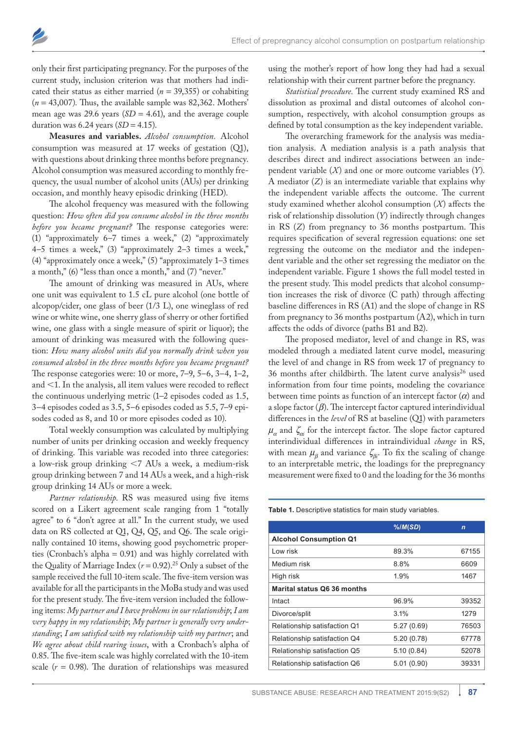only their first participating pregnancy. For the purposes of the current study, inclusion criterion was that mothers had indicated their status as either married (*n* = 39,355) or cohabiting  $(n = 43,007)$ . Thus, the available sample was 82,362. Mothers' mean age was 29.6 years  $(SD = 4.61)$ , and the average couple duration was  $6.24$  years  $(SD = 4.15)$ .

**Measures and variables.** *Alcohol consumption.* Alcohol consumption was measured at 17 weeks of gestation (Q1), with questions about drinking three months before pregnancy. Alcohol consumption was measured according to monthly frequency, the usual number of alcohol units (AUs) per drinking occasion, and monthly heavy episodic drinking (HED).

The alcohol frequency was measured with the following question: *How often did you consume alcohol in the three months before you became pregnant?* The response categories were: (1) "approximately 6–7 times a week," (2) "approximately 4–5 times a week," (3) "approximately 2–3 times a week," (4) "approximately once a week," (5) "approximately 1–3 times a month," (6) "less than once a month," and (7) "never."

The amount of drinking was measured in AUs, where one unit was equivalent to 1.5 cL pure alcohol (one bottle of alcopop/cider, one glass of beer (1/3 L), one wineglass of red wine or white wine, one sherry glass of sherry or other fortified wine, one glass with a single measure of spirit or liquor); the amount of drinking was measured with the following question: *How many alcohol units did you normally drink when you consumed alcohol in the three months before you became pregnant?* The response categories were: 10 or more, 7–9, 5–6, 3–4, 1–2, and <1. In the analysis, all item values were recoded to reflect the continuous underlying metric (1–2 episodes coded as 1.5, 3–4 episodes coded as 3.5, 5–6 episodes coded as 5.5, 7–9 episodes coded as 8, and 10 or more episodes coded as 10).

Total weekly consumption was calculated by multiplying number of units per drinking occasion and weekly frequency of drinking. This variable was recoded into three categories: a low-risk group drinking ,7 AUs a week, a medium-risk group drinking between 7 and 14 AUs a week, and a high-risk group drinking 14 AUs or more a week.

*Partner relationship.* RS was measured using five items scored on a Likert agreement scale ranging from 1 "totally agree" to 6 "don't agree at all." In the current study, we used data on RS collected at Q1, Q4, Q5, and Q6. The scale originally contained 10 items, showing good psychometric properties (Cronbach's alpha = 0.91) and was highly correlated with the Quality of Marriage Index  $(r = 0.92)$ .<sup>25</sup> Only a subset of the sample received the full 10-item scale. The five-item version was available for all the participants in the MoBa study and was used for the present study. The five-item version included the following items: *My partner and I have problems in our relationship*; *I am very happy in my relationship*; *My partner is generally very understanding*; *I am satisfied with my relationship with my partner*; and *We agree about child rearing issues*, with a Cronbach's alpha of 0.85. The five-item scale was highly correlated with the 10-item scale  $(r = 0.98)$ . The duration of relationships was measured

using the mother's report of how long they had had a sexual relationship with their current partner before the pregnancy.

*Statistical procedure.* The current study examined RS and dissolution as proximal and distal outcomes of alcohol consumption, respectively, with alcohol consumption groups as defined by total consumption as the key independent variable.

The overarching framework for the analysis was mediation analysis. A mediation analysis is a path analysis that describes direct and indirect associations between an independent variable (*X*) and one or more outcome variables (*Y*). A mediator (*Z*) is an intermediate variable that explains why the independent variable affects the outcome. The current study examined whether alcohol consumption (*X*) affects the risk of relationship dissolution (*Y*) indirectly through changes in RS (*Z*) from pregnancy to 36 months postpartum. This requires specification of several regression equations: one set regressing the outcome on the mediator and the independent variable and the other set regressing the mediator on the independent variable. Figure 1 shows the full model tested in the present study. This model predicts that alcohol consumption increases the risk of divorce (C path) through affecting baseline differences in RS (A1) and the slope of change in RS from pregnancy to 36 months postpartum (A2), which in turn affects the odds of divorce (paths B1 and B2).

The proposed mediator, level of and change in RS, was modeled through a mediated latent curve model, measuring the level of and change in RS from week 17 of pregnancy to 36 months after childbirth. The latent curve analysis<sup>26</sup> used information from four time points, modeling the covariance between time points as function of an intercept factor  $(\alpha)$  and a slope factor (*β*). The intercept factor captured interindividual differences in the *level* of RS at baseline (Q1) with parameters  $\mu_{\alpha}$  and  $\zeta_{\alpha i}$  for the intercept factor. The slope factor captured interindividual differences in intraindividual *change* in RS, with mean  $\mu_{\beta}$  and variance  $\zeta_{\beta i}$ . To fix the scaling of change to an interpretable metric, the loadings for the prepregnancy measurement were fixed to 0 and the loading for the 36 months

**Table 1.** Descriptive statistics for main study variables.

|                                    | $\frac{N}{M(SD)}$ | $\mathbf n$ |
|------------------------------------|-------------------|-------------|
| <b>Alcohol Consumption Q1</b>      |                   |             |
| Low risk                           | 89.3%             | 67155       |
| Medium risk                        | 8.8%              | 6609        |
| High risk                          | $1.9\%$           | 1467        |
| <b>Marital status Q6 36 months</b> |                   |             |
| Intact                             | 96.9%             | 39352       |
| Divorce/split                      | 3.1%              | 1279        |
| Relationship satisfaction Q1       | 5.27(0.69)        | 76503       |
| Relationship satisfaction Q4       | 5.20 (0.78)       | 67778       |
| Relationship satisfaction Q5       | 5.10(0.84)        | 52078       |
| Relationship satisfaction Q6       | 5.01(0.90)        | 39331       |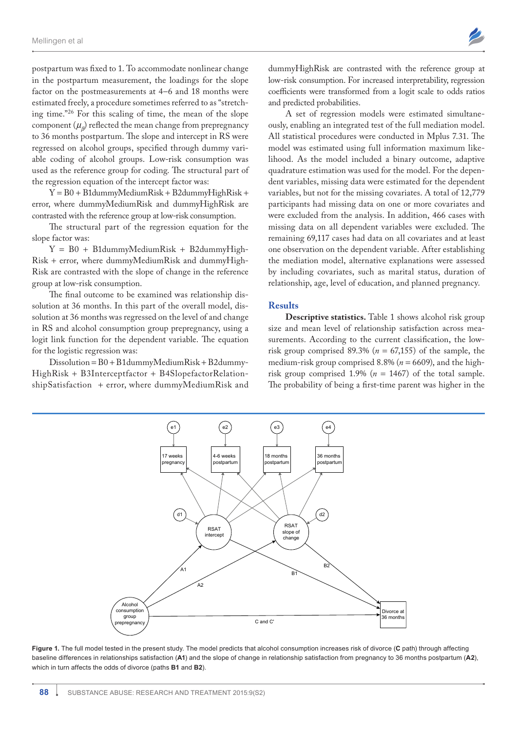postpartum was fixed to 1. To accommodate nonlinear change in the postpartum measurement, the loadings for the slope factor on the postmeasurements at 4–6 and 18 months were estimated freely, a procedure sometimes referred to as "stretching time."26 For this scaling of time, the mean of the slope component  $(\mu_{\rho})$  reflected the mean change from prepregnancy to 36 months postpartum. The slope and intercept in RS were regressed on alcohol groups, specified through dummy variable coding of alcohol groups. Low-risk consumption was used as the reference group for coding. The structural part of the regression equation of the intercept factor was:

Y = B0 + B1dummyMediumRisk + B2dummyHighRisk + error, where dummyMediumRisk and dummyHighRisk are contrasted with the reference group at low-risk consumption.

The structural part of the regression equation for the slope factor was:

 $Y = B0 + B1$ dummyMediumRisk + B2dummyHigh-Risk + error, where dummyMediumRisk and dummyHigh-Risk are contrasted with the slope of change in the reference group at low-risk consumption.

The final outcome to be examined was relationship dissolution at 36 months. In this part of the overall model, dissolution at 36 months was regressed on the level of and change in RS and alcohol consumption group prepregnancy, using a logit link function for the dependent variable. The equation for the logistic regression was:

 $Dissolution = B0 + B1dummyMedianRisk + B2dummy-$ HighRisk + B3Interceptfactor + B4SlopefactorRelationshipSatisfaction + error, where dummyMediumRisk and

e1

dummyHighRisk are contrasted with the reference group at low-risk consumption. For increased interpretability, regression coefficients were transformed from a logit scale to odds ratios and predicted probabilities.

A set of regression models were estimated simultaneously, enabling an integrated test of the full mediation model. All statistical procedures were conducted in Mplus 7.31. The model was estimated using full information maximum likelihood. As the model included a binary outcome, adaptive quadrature estimation was used for the model. For the dependent variables, missing data were estimated for the dependent variables, but not for the missing covariates. A total of 12,779 participants had missing data on one or more covariates and were excluded from the analysis. In addition, 466 cases with missing data on all dependent variables were excluded. The remaining 69,117 cases had data on all covariates and at least one observation on the dependent variable. After establishing the mediation model, alternative explanations were assessed by including covariates, such as marital status, duration of relationship, age, level of education, and planned pregnancy.

#### **Results**

e2 ) (e3 ) (e4

**Descriptive statistics.** Table 1 shows alcohol risk group size and mean level of relationship satisfaction across measurements. According to the current classification, the lowrisk group comprised  $89.3\%$  ( $n = 67,155$ ) of the sample, the medium-risk group comprised 8.8% (*n* = 6609), and the highrisk group comprised 1.9% ( $n = 1467$ ) of the total sample. The probability of being a first-time parent was higher in the



**Figure 1.** The full model tested in the present study. The model predicts that alcohol consumption increases risk of divorce (**C** path) through affecting baseline differences in relationships satisfaction (**A1**) and the slope of change in relationship satisfaction from pregnancy to 36 months postpartum (**A2**), which in turn affects the odds of divorce (paths **B1** and **B2**).

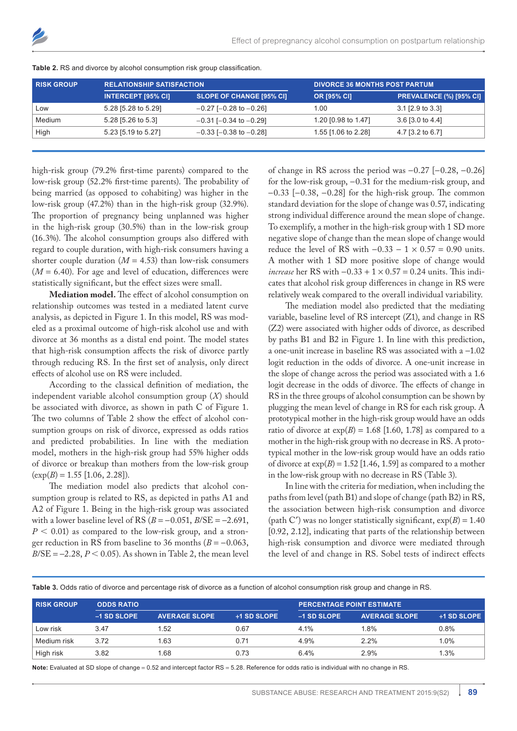| <b>RISK GROUP</b> | <b>RELATIONSHIP SATISFACTION</b> |                                 | <b>DIVORCE 36 MONTHS POST PARTUM</b> |                                |  |
|-------------------|----------------------------------|---------------------------------|--------------------------------------|--------------------------------|--|
|                   | <b>INTERCEPT [95% CI]</b>        | <b>SLOPE OF CHANGE [95% CI]</b> | <b>OR [95% CI]</b>                   | <b>PREVALENCE (%) [95% CI]</b> |  |
| LOW               | 5.28 [5.28 to 5.29]              | $-0.27$ [ $-0.28$ to $-0.26$ ]  | 1.00                                 | $3.1$ [2.9 to 3.3]             |  |
| Medium            | 5.28 [5.26 to 5.3]               | $-0.31$ [ $-0.34$ to $-0.29$ ]  | 1.20 [0.98 to 1.47]                  | $3.6$ [3.0 to 4.4]             |  |
| High              | 5.23 [5.19 to 5.27]              | $-0.33$ [ $-0.38$ to $-0.28$ ]  | 1.55 [1.06 to 2.28]                  | 4.7 [3.2 to 6.7]               |  |
|                   |                                  |                                 |                                      |                                |  |

**Table 2.** RS and divorce by alcohol consumption risk group classification.

high-risk group (79.2% first-time parents) compared to the low-risk group (52.2% first-time parents). The probability of being married (as opposed to cohabiting) was higher in the low-risk group (47.2%) than in the high-risk group (32.9%). The proportion of pregnancy being unplanned was higher in the high-risk group (30.5%) than in the low-risk group (16.3%). The alcohol consumption groups also differed with regard to couple duration, with high-risk consumers having a shorter couple duration  $(M = 4.53)$  than low-risk consumers  $(M = 6.40)$ . For age and level of education, differences were statistically significant, but the effect sizes were small.

**Mediation model.** The effect of alcohol consumption on relationship outcomes was tested in a mediated latent curve analysis, as depicted in Figure 1. In this model, RS was modeled as a proximal outcome of high-risk alcohol use and with divorce at 36 months as a distal end point. The model states that high-risk consumption affects the risk of divorce partly through reducing RS. In the first set of analysis, only direct effects of alcohol use on RS were included.

According to the classical definition of mediation, the independent variable alcohol consumption group (*X*) should be associated with divorce, as shown in path C of Figure 1. The two columns of Table 2 show the effect of alcohol consumption groups on risk of divorce, expressed as odds ratios and predicted probabilities. In line with the mediation model, mothers in the high-risk group had 55% higher odds of divorce or breakup than mothers from the low-risk group  $(\exp(B) = 1.55$  [1.06, 2.28]).

The mediation model also predicts that alcohol consumption group is related to RS, as depicted in paths A1 and A2 of Figure 1. Being in the high-risk group was associated with a lower baseline level of RS  $(B = -0.051, B/\text{SE} = -2.691,$  $P < 0.01$ ) as compared to the low-risk group, and a stronger reduction in RS from baseline to 36 months  $(B = -0.063,$  $B/SE = -2.28$ ,  $P < 0.05$ ). As shown in Table 2, the mean level of change in RS across the period was −0.27 [−0.28, −0.26] for the low-risk group, −0.31 for the medium-risk group, and −0.33 [−0.38, −0.28] for the high-risk group. The common standard deviation for the slope of change was 0.57, indicating strong individual difference around the mean slope of change. To exemplify, a mother in the high-risk group with 1 SD more negative slope of change than the mean slope of change would reduce the level of RS with  $-0.33 - 1 \times 0.57 = 0.90$  units. A mother with 1 SD more positive slope of change would *increase* her RS with −0.33 + 1 × 0.57 = 0.24 units. This indicates that alcohol risk group differences in change in RS were relatively weak compared to the overall individual variability.

The mediation model also predicted that the mediating variable, baseline level of RS intercept (Z1), and change in RS (Z2) were associated with higher odds of divorce, as described by paths B1 and B2 in Figure 1. In line with this prediction, a one-unit increase in baseline RS was associated with a −1.02 logit reduction in the odds of divorce. A one-unit increase in the slope of change across the period was associated with a 1.6 logit decrease in the odds of divorce. The effects of change in RS in the three groups of alcohol consumption can be shown by plugging the mean level of change in RS for each risk group. A prototypical mother in the high-risk group would have an odds ratio of divorce at  $exp(B) = 1.68$  [1.60, 1.78] as compared to a mother in the high-risk group with no decrease in RS. A prototypical mother in the low-risk group would have an odds ratio of divorce at  $exp(B) = 1.52$  [1.46, 1.59] as compared to a mother in the low-risk group with no decrease in RS (Table 3).

In line with the criteria for mediation, when including the paths from level (path B1) and slope of change (path B2) in RS, the association between high-risk consumption and divorce (path C') was no longer statistically significant,  $exp(B) = 1.40$ [0.92, 2.12], indicating that parts of the relationship between high-risk consumption and divorce were mediated through the level of and change in RS. Sobel tests of indirect effects

**Table 3.** Odds ratio of divorce and percentage risk of divorce as a function of alcohol consumption risk group and change in RS.

| <b>RISK GROUP</b> | <b>ODDS RATIO</b> |                      |             |             | <b>PERCENTAGE POINT ESTIMATE</b> |                    |  |
|-------------------|-------------------|----------------------|-------------|-------------|----------------------------------|--------------------|--|
|                   | -1 SD SLOPE       | <b>AVERAGE SLOPE</b> | +1 SD SLOPE | -1 SD SLOPE | <b>AVERAGE SLOPE</b>             | <b>+1 SD SLOPE</b> |  |
| Low risk          | 3.47              | 1.52                 | 0.67        | 4.1%        | 1.8%                             | 0.8%               |  |
| Medium risk       | 3.72              | 1.63                 | 0.71        | 4.9%        | 2.2%                             | 1.0%               |  |
| High risk         | 3.82              | 1.68                 | 0.73        | 6.4%        | 2.9%                             | 1.3%               |  |

**Note:** Evaluated at SD slope of change = 0.52 and intercept factor RS = 5.28. Reference for odds ratio is individual with no change in RS.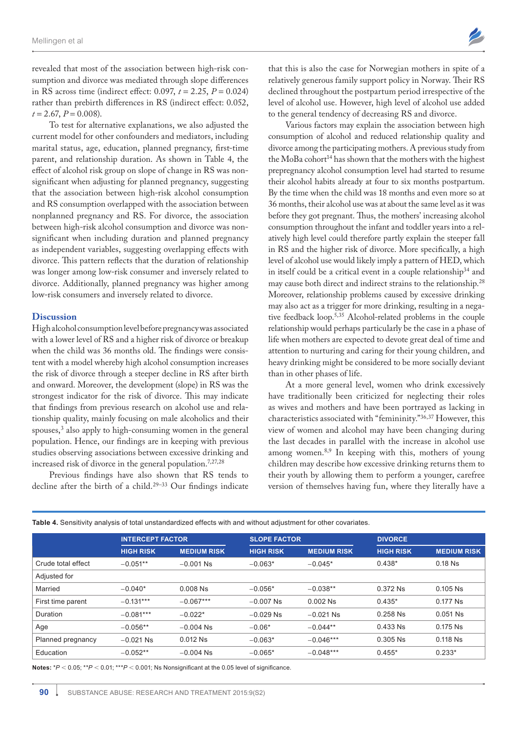revealed that most of the association between high-risk consumption and divorce was mediated through slope differences in RS across time (indirect effect: 0.097, *t* = 2.25, *P* = 0.024) rather than prebirth differences in RS (indirect effect: 0.052,  $t = 2.67$ ,  $P = 0.008$ ).

To test for alternative explanations, we also adjusted the current model for other confounders and mediators, including marital status, age, education, planned pregnancy, first-time parent, and relationship duration. As shown in Table 4, the effect of alcohol risk group on slope of change in RS was nonsignificant when adjusting for planned pregnancy, suggesting that the association between high-risk alcohol consumption and RS consumption overlapped with the association between nonplanned pregnancy and RS. For divorce, the association between high-risk alcohol consumption and divorce was nonsignificant when including duration and planned pregnancy as independent variables, suggesting overlapping effects with divorce. This pattern reflects that the duration of relationship was longer among low-risk consumer and inversely related to divorce. Additionally, planned pregnancy was higher among low-risk consumers and inversely related to divorce.

#### **Discussion**

High alcohol consumption level before pregnancy was associated with a lower level of RS and a higher risk of divorce or breakup when the child was 36 months old. The findings were consistent with a model whereby high alcohol consumption increases the risk of divorce through a steeper decline in RS after birth and onward. Moreover, the development (slope) in RS was the strongest indicator for the risk of divorce. This may indicate that findings from previous research on alcohol use and relationship quality, mainly focusing on male alcoholics and their spouses,<sup>3</sup> also apply to high-consuming women in the general population. Hence, our findings are in keeping with previous studies observing associations between excessive drinking and increased risk of divorce in the general population.7,27,28

Previous findings have also shown that RS tends to decline after the birth of a child.<sup>29-33</sup> Our findings indicate

that this is also the case for Norwegian mothers in spite of a relatively generous family support policy in Norway. Their RS declined throughout the postpartum period irrespective of the level of alcohol use. However, high level of alcohol use added to the general tendency of decreasing RS and divorce.

Various factors may explain the association between high consumption of alcohol and reduced relationship quality and divorce among the participating mothers. A previous study from the MoBa cohort<sup>14</sup> has shown that the mothers with the highest prepregnancy alcohol consumption level had started to resume their alcohol habits already at four to six months postpartum. By the time when the child was 18 months and even more so at 36 months, their alcohol use was at about the same level as it was before they got pregnant. Thus, the mothers' increasing alcohol consumption throughout the infant and toddler years into a relatively high level could therefore partly explain the steeper fall in RS and the higher risk of divorce. More specifically, a high level of alcohol use would likely imply a pattern of HED, which in itself could be a critical event in a couple relationship<sup>34</sup> and may cause both direct and indirect strains to the relationship.<sup>28</sup> Moreover, relationship problems caused by excessive drinking may also act as a trigger for more drinking, resulting in a negative feedback loop.5,35 Alcohol-related problems in the couple relationship would perhaps particularly be the case in a phase of life when mothers are expected to devote great deal of time and attention to nurturing and caring for their young children, and heavy drinking might be considered to be more socially deviant than in other phases of life.

At a more general level, women who drink excessively have traditionally been criticized for neglecting their roles as wives and mothers and have been portrayed as lacking in characteristics associated with "femininity."36,37 However, this view of women and alcohol may have been changing during the last decades in parallel with the increase in alcohol use among women.8,9 In keeping with this, mothers of young children may describe how excessive drinking returns them to their youth by allowing them to perform a younger, carefree version of themselves having fun, where they literally have a

| <b>INTERCEPT FACTOR</b> |                    | <b>SLOPE FACTOR</b> |                    | <b>DIVORCE</b>   |                    |
|-------------------------|--------------------|---------------------|--------------------|------------------|--------------------|
| <b>HIGH RISK</b>        | <b>MEDIUM RISK</b> | <b>HIGH RISK</b>    | <b>MEDIUM RISK</b> | <b>HIGH RISK</b> | <b>MEDIUM RISK</b> |
| $-0.051**$              | $-0.001$ Ns        | $-0.063*$           | $-0.045*$          | $0.438*$         | $0.18$ Ns          |
|                         |                    |                     |                    |                  |                    |
| $-0.040*$               | $0.008$ Ns         | $-0.056*$           | $-0.038**$         | $0.372$ Ns       | $0.105$ Ns         |
| $-0.131***$             | $-0.067***$        | $-0.007$ Ns         | $0.002$ Ns         | $0.435*$         | $0.177$ Ns         |
| $-0.081***$             | $-0.022*$          | $-0.029$ Ns         | $-0.021$ Ns        | $0.258$ Ns       | $0.051$ Ns         |
| $-0.056**$              | $-0.004$ Ns        | $-0.06*$            | $-0.044**$         | $0.433$ Ns       | $0.175$ Ns         |
| $-0.021$ Ns             | $0.012$ Ns         | $-0.063*$           | $-0.046***$        | $0.305$ Ns       | $0.118$ Ns         |
| $-0.052**$              | $-0.004$ Ns        | $-0.065*$           | $-0.048***$        | $0.455*$         | $0.233*$           |
|                         |                    |                     |                    |                  |                    |

**Table 4.** Sensitivity analysis of total unstandardized effects with and without adjustment for other covariates.

Notes:  $*P < 0.05$ ;  $*P < 0.01$ ;  $**P < 0.001$ ; Ns Nonsignificant at the 0.05 level of significance.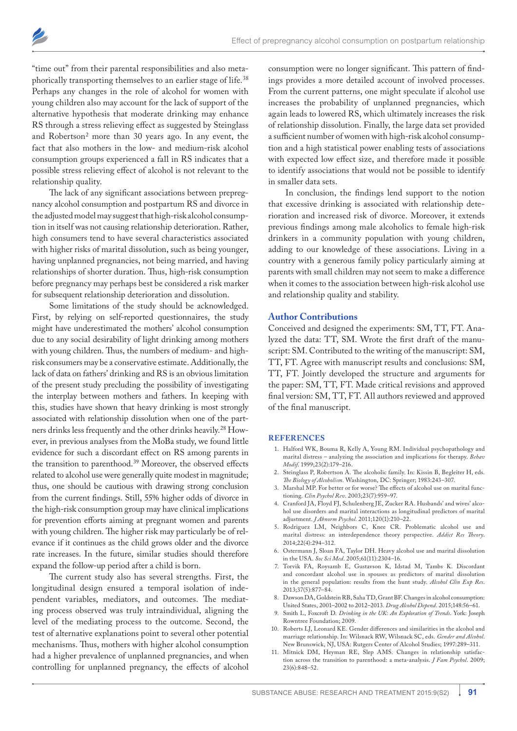

"time out" from their parental responsibilities and also metaphorically transporting themselves to an earlier stage of life.<sup>38</sup> Perhaps any changes in the role of alcohol for women with young children also may account for the lack of support of the alternative hypothesis that moderate drinking may enhance RS through a stress relieving effect as suggested by Steinglass and Robertson<sup>2</sup> more than 30 years ago. In any event, the fact that also mothers in the low- and medium-risk alcohol consumption groups experienced a fall in RS indicates that a possible stress relieving effect of alcohol is not relevant to the relationship quality.

The lack of any significant associations between prepregnancy alcohol consumption and postpartum RS and divorce in the adjusted model may suggest that high-risk alcohol consumption in itself was not causing relationship deterioration. Rather, high consumers tend to have several characteristics associated with higher risks of marital dissolution, such as being younger, having unplanned pregnancies, not being married, and having relationships of shorter duration. Thus, high-risk consumption before pregnancy may perhaps best be considered a risk marker for subsequent relationship deterioration and dissolution.

Some limitations of the study should be acknowledged. First, by relying on self-reported questionnaires, the study might have underestimated the mothers' alcohol consumption due to any social desirability of light drinking among mothers with young children. Thus, the numbers of medium- and highrisk consumers may be a conservative estimate. Additionally, the lack of data on fathers' drinking and RS is an obvious limitation of the present study precluding the possibility of investigating the interplay between mothers and fathers. In keeping with this, studies have shown that heavy drinking is most strongly associated with relationship dissolution when one of the partners drinks less frequently and the other drinks heavily.28 However, in previous analyses from the MoBa study, we found little evidence for such a discordant effect on RS among parents in the transition to parenthood.39 Moreover, the observed effects related to alcohol use were generally quite modest in magnitude; thus, one should be cautious with drawing strong conclusion from the current findings. Still, 55% higher odds of divorce in the high-risk consumption group may have clinical implications for prevention efforts aiming at pregnant women and parents with young children. The higher risk may particularly be of relevance if it continues as the child grows older and the divorce rate increases. In the future, similar studies should therefore expand the follow-up period after a child is born.

The current study also has several strengths. First, the longitudinal design ensured a temporal isolation of independent variables, mediators, and outcomes. The mediating process observed was truly intraindividual, aligning the level of the mediating process to the outcome. Second, the test of alternative explanations point to several other potential mechanisms. Thus, mothers with higher alcohol consumption had a higher prevalence of unplanned pregnancies, and when controlling for unplanned pregnancy, the effects of alcohol

consumption were no longer significant. This pattern of findings provides a more detailed account of involved processes. From the current patterns, one might speculate if alcohol use increases the probability of unplanned pregnancies, which again leads to lowered RS, which ultimately increases the risk of relationship dissolution. Finally, the large data set provided a sufficient number of women with high-risk alcohol consumption and a high statistical power enabling tests of associations with expected low effect size, and therefore made it possible to identify associations that would not be possible to identify in smaller data sets.

In conclusion, the findings lend support to the notion that excessive drinking is associated with relationship deterioration and increased risk of divorce. Moreover, it extends previous findings among male alcoholics to female high-risk drinkers in a community population with young children, adding to our knowledge of these associations. Living in a country with a generous family policy particularly aiming at parents with small children may not seem to make a difference when it comes to the association between high-risk alcohol use and relationship quality and stability.

#### **Author Contributions**

Conceived and designed the experiments: SM, TT, FT. Analyzed the data: TT, SM. Wrote the first draft of the manuscript: SM. Contributed to the writing of the manuscript: SM, TT, FT. Agree with manuscript results and conclusions: SM, TT, FT. Jointly developed the structure and arguments for the paper: SM, TT, FT. Made critical revisions and approved final version: SM, TT, FT. All authors reviewed and approved of the final manuscript.

#### **References**

- 1. Halford WK, Bouma R, Kelly A, Young RM. Individual psychopathology and marital distress – analyzing the association and implications for therapy. *Behav Modif*. 1999;23(2):179–216.
- 2. Steinglass P, Robertson A. The alcoholic family. In: Kissin B, Begleiter H, eds. *The Biology of Alcoholism*. Washington, DC: Springer; 1983:243–307.
- 3. Marshal MP. For better or for worse? The effects of alcohol use on marital functioning. *Clin Psychol Rev*. 2003;23(7):959–97.
- 4. Cranford JA, Floyd FJ, Schulenberg JE, Zucker RA. Husbands' and wives' alcohol use disorders and marital interactions as longitudinal predictors of marital adjustment. *J Abnorm Psychol*. 2011;120(1):210–22.
- 5. Rodriguez LM, Neighbors C, Knee CR. Problematic alcohol use and marital distress: an interdependence theory perspective. *Addict Res Theory*. 2014;22(4):294–312.
- 6. Ostermann J, Sloan FA, Taylor DH. Heavy alcohol use and marital dissolution in the USA. *Soc Sci Med*. 2005;61(11):2304–16.
- 7. Torvik FA, Roysamb E, Gustavson K, Idstad M, Tambs K. Discordant and concordant alcohol use in spouses as predictors of marital dissolution in the general population: results from the hunt study. *Alcohol Clin Exp Res*. 2013;37(5):877–84.
- 8. Dawson DA, Goldstein RB, Saha TD, Grant BF. Changes in alcohol consumption: United States, 2001–2002 to 2012–2013. *Drug Alcohol Depend*. 2015;148:56–61.
- 9. Smith L, Foxcroft D. *Drinking in the UK*: *An Exploration of Trends*. York: Joseph Rowntree Foundation; 2009.
- 10. Roberts LJ, Leonard KE. Gender differences and similarities in the alcohol and marriage relationship. In: Wilsnack RW, Wilsnack SC, eds. *Gender and Alcohol*. New Brunswick, NJ, USA: Rutgers Center of Alcohol Studies; 1997:289–311.
- 11. Mitnick DM, Heyman RE, Slep AMS. Changes in relationship satisfaction across the transition to parenthood: a meta-analysis. *J Fam Psychol*. 2009; 23(6):848–52.